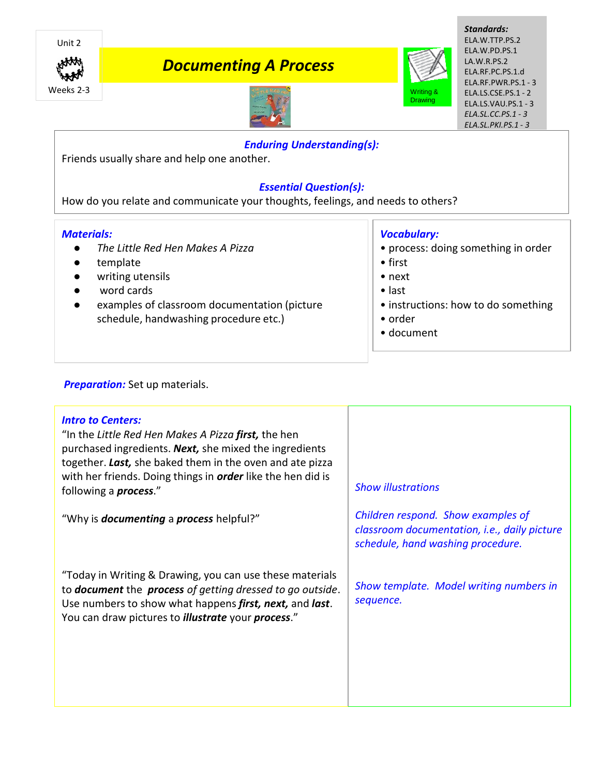

# *Documenting A Process*



*Standards:* ELA.W.TTP.PS.2 ELA.W.PD.PS.1 LA.W.R.PS.2 ELA.RF.PC.PS.1.d ELA.RF.PWR.PS.1 - 3 ELA.LS.CSE.PS.1 - 2 ELA.LS.VAU.PS.1 - 3 *ELA.SL.CC.PS.1 - 3 ELA.SL.PKI.PS.1 - 3*



## *Enduring Understanding(s):*

Friends usually share and help one another.

# *Essential Question(s):*

How do you relate and communicate your thoughts, feelings, and needs to others?

## *Materials:*

- *The Little Red Hen Makes A Pizza*
- template
- writing utensils
- word cards
- examples of classroom documentation (picture schedule, handwashing procedure etc.)

# *Vocabulary:*

- process: doing something in order
- first
- next
- last
- instructions: how to do something
- order
- document

## **Preparation:** Set up materials.

| <b>Intro to Centers:</b><br>"In the Little Red Hen Makes A Pizza <b>first,</b> the hen<br>purchased ingredients. Next, she mixed the ingredients<br>together. Last, she baked them in the oven and ate pizza<br>with her friends. Doing things in <i>order</i> like the hen did is<br>following a <i>process.</i> " | <b>Show illustrations</b>                                                                                               |
|---------------------------------------------------------------------------------------------------------------------------------------------------------------------------------------------------------------------------------------------------------------------------------------------------------------------|-------------------------------------------------------------------------------------------------------------------------|
| "Why is <b>documenting</b> a <b>process</b> helpful?"                                                                                                                                                                                                                                                               | Children respond. Show examples of<br>classroom documentation, i.e., daily picture<br>schedule, hand washing procedure. |
| "Today in Writing & Drawing, you can use these materials<br>to <b>document</b> the <b>process</b> of getting dressed to go outside.<br>Use numbers to show what happens first, next, and last.<br>You can draw pictures to <i>illustrate</i> your <i>process."</i>                                                  | Show template. Model writing numbers in<br>sequence.                                                                    |